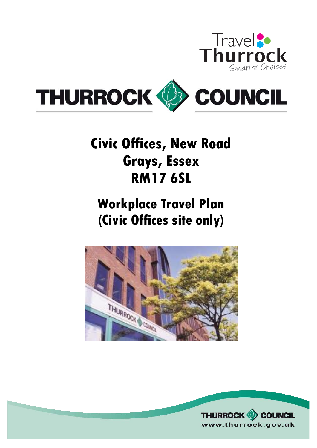



# **Civic Offices, New Road Grays, Essex RM17 6SL**

# **Workplace Travel Plan (Civic Offices site only)**



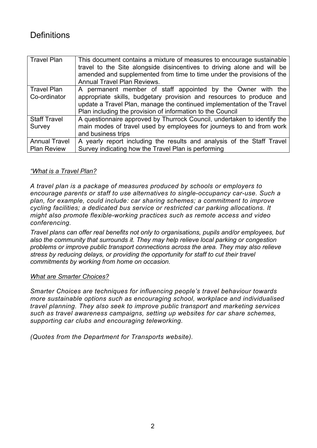## **Definitions**

| <b>Travel Plan</b>                 | This document contains a mixture of measures to encourage sustainable<br>travel to the Site alongside disincentives to driving alone and will be<br>amended and supplemented from time to time under the provisions of the<br><b>Annual Travel Plan Reviews.</b>             |
|------------------------------------|------------------------------------------------------------------------------------------------------------------------------------------------------------------------------------------------------------------------------------------------------------------------------|
| <b>Travel Plan</b><br>Co-ordinator | A permanent member of staff appointed by the Owner with the<br>appropriate skills, budgetary provision and resources to produce and<br>update a Travel Plan, manage the continued implementation of the Travel<br>Plan including the provision of information to the Council |
| <b>Staff Travel</b>                | A questionnaire approved by Thurrock Council, undertaken to identify the                                                                                                                                                                                                     |
| Survey                             | main modes of travel used by employees for journeys to and from work                                                                                                                                                                                                         |
|                                    | and business trips                                                                                                                                                                                                                                                           |
| <b>Annual Travel</b>               | A yearly report including the results and analysis of the Staff Travel                                                                                                                                                                                                       |
| <b>Plan Review</b>                 | Survey indicating how the Travel Plan is performing                                                                                                                                                                                                                          |

#### *"What is a Travel Plan?*

*A travel plan is a package of measures produced by schools or employers to encourage parents or staff to use alternatives to single-occupancy car-use. Such a plan, for example, could include: car sharing schemes; a commitment to improve cycling facilities; a dedicated bus service or restricted car parking allocations. It might also promote flexible-working practices such as remote access and video conferencing.* 

*Travel plans can offer real benefits not only to organisations, pupils and/or employees, but also the community that surrounds it. They may help relieve local parking or congestion problems or improve public transport connections across the area. They may also relieve stress by reducing delays, or providing the opportunity for staff to cut their travel commitments by working from home on occasion.* 

#### *What are Smarter Choices?*

*Smarter Choices are techniques for influencing people's travel behaviour towards more sustainable options such as encouraging school, workplace and individualised travel planning. They also seek to improve public transport and marketing services such as travel awareness campaigns, setting up websites for car share schemes, supporting car clubs and encouraging teleworking.* 

*(Quotes from the Department for Transports website).*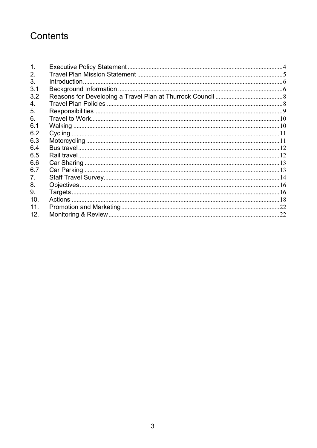# Contents

| 2.              |  |
|-----------------|--|
| 3.              |  |
| 3.1             |  |
| 3.2             |  |
| 4.              |  |
| 5.              |  |
| 6.              |  |
| 6.1             |  |
| 6.2             |  |
| 6.3             |  |
| 6.4             |  |
| 6.5             |  |
| 6.6             |  |
| 6.7             |  |
| 7.              |  |
| 8.              |  |
| 9.              |  |
| 10.             |  |
| 11 <sub>1</sub> |  |
| 12.             |  |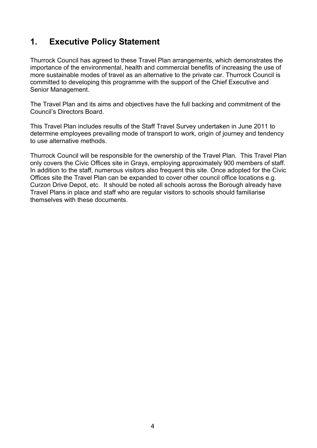## <span id="page-3-0"></span>**1. Executive Policy Statement**

Thurrock Council has agreed to these Travel Plan arrangements, which demonstrates the importance of the environmental, health and commercial benefits of increasing the use of more sustainable modes of travel as an alternative to the private car. Thurrock Council is committed to developing this programme with the support of the Chief Executive and Senior Management.

The Travel Plan and its aims and objectives have the full backing and commitment of the Council's Directors Board.

This Travel Plan includes results of the Staff Travel Survey undertaken in June 2011 to determine employees prevailing mode of transport to work, origin of journey and tendency to use alternative methods.

Thurrock Council will be responsible for the ownership of the Travel Plan. This Travel Plan only covers the Civic Offices site in Grays, employing approximately 900 members of staff. In addition to the staff, numerous visitors also frequent this site. Once adopted for the Civic Offices site the Travel Plan can be expanded to cover other council office locations e.g. Curzon Drive Depot, etc. It should be noted all schools across the Borough already have Travel Plans in place and staff who are regular visitors to schools should familiarise themselves with these documents.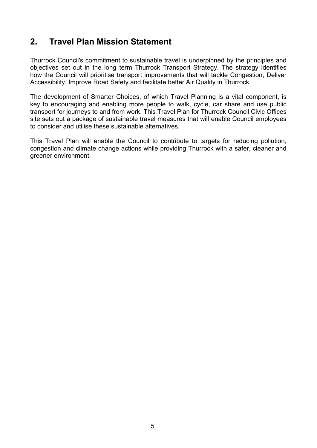## <span id="page-4-0"></span>**2. Travel Plan Mission Statement**

Thurrock Council's commitment to sustainable travel is underpinned by the principles and objectives set out in the long term Thurrock Transport Strategy. The strategy identifies how the Council will prioritise transport improvements that will tackle Congestion, Deliver Accessibility, Improve Road Safety and facilitate better Air Quality in Thurrock.

The development of Smarter Choices, of which Travel Planning is a vital component, is key to encouraging and enabling more people to walk, cycle, car share and use public transport for journeys to and from work. This Travel Plan for Thurrock Council Civic Offices site sets out a package of sustainable travel measures that will enable Council employees to consider and utilise these sustainable alternatives.

This Travel Plan will enable the Council to contribute to targets for reducing pollution, congestion and climate change actions while providing Thurrock with a safer, cleaner and greener environment.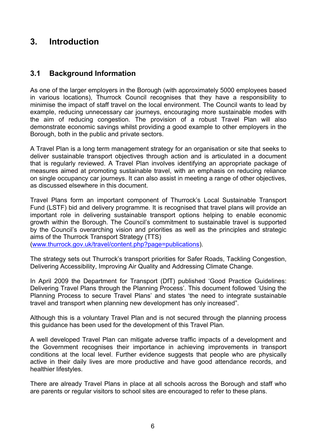## <span id="page-5-0"></span>**3. Introduction**

#### **3.1 Background Information**

As one of the larger employers in the Borough (with approximately 5000 employees based in various locations), Thurrock Council recognises that they have a responsibility to minimise the impact of staff travel on the local environment. The Council wants to lead by example, reducing unnecessary car journeys, encouraging more sustainable modes with the aim of reducing congestion. The provision of a robust Travel Plan will also demonstrate economic savings whilst providing a good example to other employers in the Borough, both in the public and private sectors.

A Travel Plan is a long term management strategy for an organisation or site that seeks to deliver sustainable transport objectives through action and is articulated in a document that is regularly reviewed. A Travel Plan involves identifying an appropriate package of measures aimed at promoting sustainable travel, with an emphasis on reducing reliance on single occupancy car journeys. It can also assist in meeting a range of other objectives, as discussed elsewhere in this document.

Travel Plans form an important component of Thurrock's Local Sustainable Transport Fund (LSTF) bid and delivery programme. It is recognised that travel plans will provide an important role in delivering sustainable transport options helping to enable economic growth within the Borough. The Council's commitment to sustainable travel is supported by the Council's overarching vision and priorities as well as the principles and strategic aims of the Thurrock Transport Strategy (TTS)

([www.thurrock.gov.uk/travel/content.php?page=publications\)](http://www.thurrock.gov.uk/travel/content.php?page=publications).

The strategy sets out Thurrock's transport priorities for Safer Roads, Tackling Congestion, Delivering Accessibility, Improving Air Quality and Addressing Climate Change.

In April 2009 the Department for Transport (DfT) published 'Good Practice Guidelines: Delivering Travel Plans through the Planning Process'. This document followed 'Using the Planning Process to secure Travel Plans' and states 'the need to integrate sustainable travel and transport when planning new development has only increased".

Although this is a voluntary Travel Plan and is not secured through the planning process this guidance has been used for the development of this Travel Plan.

A well developed Travel Plan can mitigate adverse traffic impacts of a development and the Government recognises their importance in achieving improvements in transport conditions at the local level. Further evidence suggests that people who are physically active in their daily lives are more productive and have good attendance records, and healthier lifestyles.

There are already Travel Plans in place at all schools across the Borough and staff who are parents or regular visitors to school sites are encouraged to refer to these plans.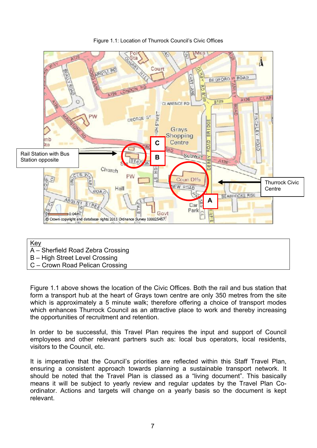

Figure 1.1: Location of Thurrock Council's Civic Offices

Key

- A Sherfield Road Zebra Crossing
- B High Street Level Crossing
- C Crown Road Pelican Crossing

Figure 1.1 above shows the location of the Civic Offices. Both the rail and bus station that form a transport hub at the heart of Grays town centre are only 350 metres from the site which is approximately a 5 minute walk; therefore offering a choice of transport modes which enhances Thurrock Council as an attractive place to work and thereby increasing the opportunities of recruitment and retention.

In order to be successful, this Travel Plan requires the input and support of Council employees and other relevant partners such as: local bus operators, local residents, visitors to the Council, etc.

It is imperative that the Council's priorities are reflected within this Staff Travel Plan, ensuring a consistent approach towards planning a sustainable transport network. It should be noted that the Travel Plan is classed as a "living document". This basically means it will be subject to yearly review and regular updates by the Travel Plan Coordinator. Actions and targets will change on a yearly basis so the document is kept relevant.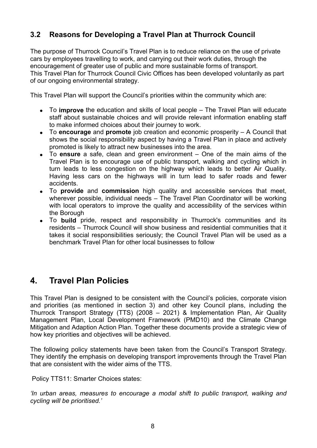#### <span id="page-7-0"></span>**3.2 Reasons for Developing a Travel Plan at Thurrock Council**

The purpose of Thurrock Council's Travel Plan is to reduce reliance on the use of private cars by employees travelling to work, and carrying out their work duties, through the encouragement of greater use of public and more sustainable forms of transport. This Travel Plan for Thurrock Council Civic Offices has been developed voluntarily as part of our ongoing environmental strategy.

This Travel Plan will support the Council's priorities within the community which are:

- To **improve** the education and skills of local people The Travel Plan will educate staff about sustainable choices and will provide relevant information enabling staff to make informed choices about their journey to work.
- To **encourage** and **promote** job creation and economic prosperity A Council that shows the social responsibility aspect by having a Travel Plan in place and actively promoted is likely to attract new businesses into the area.
- To **ensure** a safe, clean and green environment One of the main aims of the Travel Plan is to encourage use of public transport, walking and cycling which in turn leads to less congestion on the highway which leads to better Air Quality. Having less cars on the highways will in turn lead to safer roads and fewer accidents.
- To **provide** and **commission** high quality and accessible services that meet, wherever possible, individual needs – The Travel Plan Coordinator will be working with local operators to improve the quality and accessibility of the services within the Borough
- To **build** pride, respect and responsibility in Thurrock's communities and its residents – Thurrock Council will show business and residential communities that it takes it social responsibilities seriously; the Council Travel Plan will be used as a benchmark Travel Plan for other local businesses to follow

## **4. Travel Plan Policies**

This Travel Plan is designed to be consistent with the Council's policies, corporate vision and priorities (as mentioned in section 3) and other key Council plans, including the Thurrock Transport Strategy (TTS) (2008 – 2021) & Implementation Plan, Air Quality Management Plan, Local Development Framework (PMD10) and the Climate Change Mitigation and Adaption Action Plan. Together these documents provide a strategic view of how key priorities and objectives will be achieved.

The following policy statements have been taken from the Council's Transport Strategy. They identify the emphasis on developing transport improvements through the Travel Plan that are consistent with the wider aims of the TTS.

Policy TTS11: Smarter Choices states:

*'In urban areas, measures to encourage a modal shift to public transport, walking and cycling will be prioritised.'*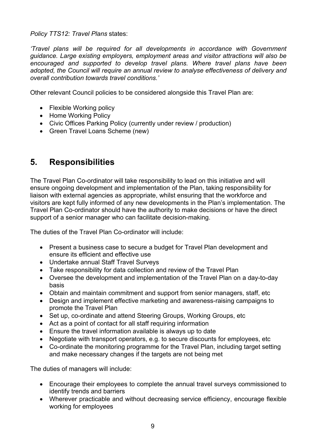<span id="page-8-0"></span>*Policy TTS12: Travel Plans* states:

*'Travel plans will be required for all developments in accordance with Government guidance. Large existing employers, employment areas and visitor attractions will also be encouraged and supported to develop travel plans. Where travel plans have been adopted, the Council will require an annual review to analyse effectiveness of delivery and overall contribution towards travel conditions.'* 

Other relevant Council policies to be considered alongside this Travel Plan are:

- Flexible Working policy
- Home Working Policy
- Civic Offices Parking Policy (currently under review / production)
- Green Travel Loans Scheme (new)

## **5. Responsibilities**

The Travel Plan Co-ordinator will take responsibility to lead on this initiative and will ensure ongoing development and implementation of the Plan, taking responsibility for liaison with external agencies as appropriate, whilst ensuring that the workforce and visitors are kept fully informed of any new developments in the Plan's implementation. The Travel Plan Co-ordinator should have the authority to make decisions or have the direct support of a senior manager who can facilitate decision-making.

The duties of the Travel Plan Co-ordinator will include:

- Present a business case to secure a budget for Travel Plan development and ensure its efficient and effective use
- Undertake annual Staff Travel Surveys
- Take responsibility for data collection and review of the Travel Plan
- Oversee the development and implementation of the Travel Plan on a day-to-day basis
- Obtain and maintain commitment and support from senior managers, staff, etc
- Design and implement effective marketing and awareness-raising campaigns to promote the Travel Plan
- Set up, co-ordinate and attend Steering Groups, Working Groups, etc
- Act as a point of contact for all staff requiring information
- Ensure the travel information available is always up to date
- Negotiate with transport operators, e.g. to secure discounts for employees, etc
- Co-ordinate the monitoring programme for the Travel Plan, including target setting and make necessary changes if the targets are not being met

The duties of managers will include:

- Encourage their employees to complete the annual travel surveys commissioned to identify trends and barriers
- Wherever practicable and without decreasing service efficiency, encourage flexible working for employees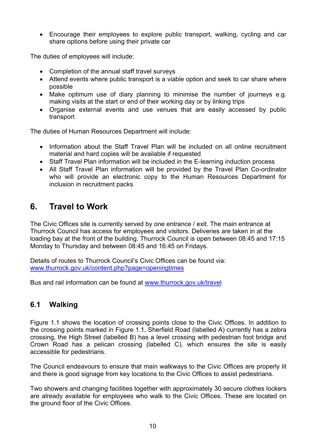<span id="page-9-0"></span>• Encourage their employees to explore public transport, walking, cycling and car share options before using their private car

The duties of employees will include:

- Completion of the annual staff travel surveys
- Attend events where public transport is a viable option and seek to car share where possible
- Make optimum use of diary planning to minimise the number of journeys e.g. making visits at the start or end of their working day or by linking trips
- Organise external events and use venues that are easily accessed by public transport

The duties of Human Resources Department will include:

- Information about the Staff Travel Plan will be included on all online recruitment material and hard copies will be available if requested
- Staff Travel Plan information will be included in the E-learning induction process
- All Staff Travel Plan information will be provided by the Travel Plan Co-ordinator who will provide an electronic copy to the Human Resources Department for inclusion in recruitment packs

## **6. Travel to Work**

The Civic Offices site is currently served by one entrance / exit. The main entrance at Thurrock Council has access for employees and visitors. Deliveries are taken in at the loading bay at the front of the building. Thurrock Council is open between 08:45 and 17:15 Monday to Thursday and between 08:45 and 16:45 on Fridays.

Details of routes to Thurrock Council's Civic Offices can be found via: [www.thurrock.gov.uk/content.php?page=openingtimes](http://www.thurrock.gov.uk/content.php?page=openingtimes)

Bus and rail information can be found at [www.thurrock.gov.uk/travel](http://www.thurrock.gov.uk/travel)

#### **6.1 Walking**

Figure 1.1 shows the location of crossing points close to the Civic Offices. In addition to the crossing points marked in Figure 1.1, Sherfield Road (labelled A) currently has a zebra crossing, the High Street (labelled B) has a level crossing with pedestrian foot bridge and Crown Road has a pelican crossing (labelled C), which ensures the site is easily accessible for pedestrians.

The Council endeavours to ensure that main walkways to the Civic Offices are properly lit and there is good signage from key locations to the Civic Offices to assist pedestrians.

Two showers and changing facilities together with approximately 30 secure clothes lockers are already available for employees who walk to the Civic Offices. These are located on the ground floor of the Civic Offices.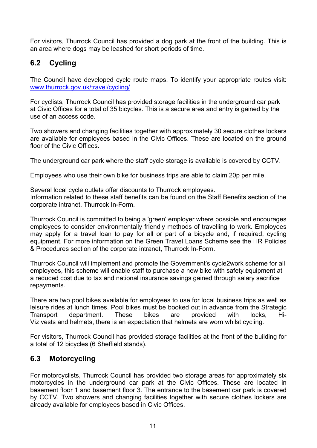<span id="page-10-0"></span>For visitors, Thurrock Council has provided a dog park at the front of the building. This is an area where dogs may be leashed for short periods of time.

#### **6.2 Cycling**

The Council have developed cycle route maps. To identify your appropriate routes visit: [www.thurrock.gov.uk/travel/cycling/](http://www.thurrock.gov.uk/travel/cycling/)

For cyclists, Thurrock Council has provided storage facilities in the underground car park at Civic Offices for a total of 35 bicycles. This is a secure area and entry is gained by the use of an access code.

Two showers and changing facilities together with approximately 30 secure clothes lockers are available for employees based in the Civic Offices. These are located on the ground floor of the Civic Offices.

The underground car park where the staff cycle storage is available is covered by CCTV.

Employees who use their own bike for business trips are able to claim 20p per mile.

Several local cycle outlets offer discounts to Thurrock employees. Information related to these staff benefits can be found on the Staff Benefits section of the corporate intranet, Thurrock In-Form.

Thurrock Council is committed to being a 'green' employer where possible and encourages employees to consider environmentally friendly methods of travelling to work. Employees may apply for a travel loan to pay for all or part of a bicycle and, if required, cycling equipment. For more information on the Green Travel Loans Scheme see the HR Policies & Procedures section of the corporate intranet, Thurrock In-Form.

Thurrock Council will implement and promote the Government's cycle2work scheme for all employees, this scheme will enable staff to purchase a new bike with safety equipment at a reduced cost due to tax and national insurance savings gained through salary sacrifice repayments.

There are two pool bikes available for employees to use for local business trips as well as leisure rides at lunch times. Pool bikes must be booked out in advance from the Strategic Transport department. These bikes are provided with locks, Hi-Viz vests and helmets, there is an expectation that helmets are worn whilst cycling.

For visitors, Thurrock Council has provided storage facilities at the front of the building for a total of 12 bicycles (6 Sheffield stands).

#### **6.3 Motorcycling**

For motorcyclists, Thurrock Council has provided two storage areas for approximately six motorcycles in the underground car park at the Civic Offices. These are located in basement floor 1 and basement floor 3. The entrance to the basement car park is covered by CCTV. Two showers and changing facilities together with secure clothes lockers are already available for employees based in Civic Offices.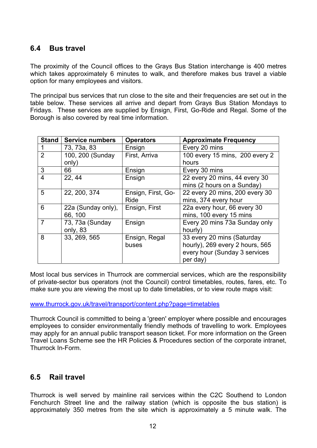#### <span id="page-11-0"></span>**6.4 Bus travel**

The proximity of the Council offices to the Grays Bus Station interchange is 400 metres which takes approximately 6 minutes to walk, and therefore makes bus travel a viable option for many employees and visitors.

The principal bus services that run close to the site and their frequencies are set out in the table below. These services all arrive and depart from Grays Bus Station Mondays to Fridays. These services are supplied by Ensign, First, Go-Ride and Regal. Some of the Borough is also covered by real time information.

| Stand          | <b>Service numbers</b> | <b>Operators</b>   | <b>Approximate Frequency</b>    |
|----------------|------------------------|--------------------|---------------------------------|
|                | 73, 73a, 83            | Ensign             | Every 20 mins                   |
| $\overline{2}$ | 100, 200 (Sunday       | First, Arriva      | 100 every 15 mins, 200 every 2  |
|                | only)                  |                    | hours                           |
| 3              | 66                     | Ensign             | Every 30 mins                   |
| $\overline{4}$ | 22, 44                 | Ensign             | 22 every 20 mins, 44 every 30   |
|                |                        |                    | mins (2 hours on a Sunday)      |
| 5              | 22, 200, 374           | Ensign, First, Go- | 22 every 20 mins, 200 every 30  |
|                |                        | Ride               | mins, 374 every hour            |
| 6              | 22a (Sunday only),     | Ensign, First      | 22a every hour, 66 every 30     |
|                | 66, 100                |                    | mins, 100 every 15 mins         |
| 7              | 73, 73a (Sunday        | Ensign             | Every 20 mins 73a Sunday only   |
|                | only, 83               |                    | hourly)                         |
| 8              | 33, 269, 565           | Ensign, Regal      | 33 every 20 mins (Saturday      |
|                |                        | buses              | hourly), 269 every 2 hours, 565 |
|                |                        |                    | every hour (Sunday 3 services   |
|                |                        |                    | per day)                        |

Most local bus services in Thurrock are commercial services, which are the responsibility of private-sector bus operators (not the Council) control timetables, routes, fares, etc. To make sure you are viewing the most up to date timetables, or to view route maps visit:

[www.thurrock.gov.uk/travel/transport/content.php?page=timetables](http://www.thurrock.gov.uk/travel/transport/content.php?page=timetables)

Thurrock Council is committed to being a 'green' employer where possible and encourages employees to consider environmentally friendly methods of travelling to work. Employees may apply for an annual public transport season ticket. For more information on the Green Travel Loans Scheme see the HR Policies & Procedures section of the corporate intranet, Thurrock In-Form.

#### **6.5 Rail travel**

Thurrock is well served by mainline rail services within the C2C Southend to London Fenchurch Street line and the railway station (which is opposite the bus station) is approximately 350 metres from the site which is approximately a 5 minute walk. The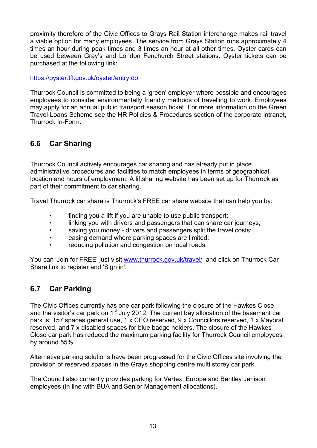<span id="page-12-0"></span>proximity therefore of the Civic Offices to Grays Rail Station interchange makes rail travel a viable option for many employees. The service from Grays Station runs approximately 4 times an hour during peak times and 3 times an hour at all other times. Oyster cards can be used between Gray's and London Fenchurch Street stations. Oyster tickets can be purchased at the following link:

<https://oyster.tfl.gov.uk/oyster/entry.do>

Thurrock Council is committed to being a 'green' employer where possible and encourages employees to consider environmentally friendly methods of travelling to work. Employees may apply for an annual public transport season ticket. For more information on the Green Travel Loans Scheme see the HR Policies & Procedures section of the corporate intranet, Thurrock In-Form.

### **6.6 Car Sharing**

Thurrock Council actively encourages car sharing and has already put in place administrative procedures and facilities to match employees in terms of geographical location and hours of employment. A liftsharing website has been set up for Thurrock as part of their commitment to car sharing.

Travel Thurrock car share is Thurrock's FREE car share website that can help you by:

- finding you a lift if you are unable to use public transport;
- linking you with drivers and passengers that can share car journeys;
- saving you money drivers and passengers split the travel costs;
- easing demand where parking spaces are limited;
- reducing pollution and congestion on local roads.

You can 'Join for FREE' just visit [www.thurrock.gov.uk/travel/](http://www.thurrock.gov.uk/travel/) and click on Thurrock Car Share link to register and 'Sign in'.

#### **6.7 Car Parking**

The Civic Offices currently has one car park following the closure of the Hawkes Close and the visitor's car park on  $1<sup>st</sup>$  July 2012. The current bay allocation of the basement car park is: 157 spaces general use, 1 x CEO reserved, 9 x Councillors reserved, 1 x Mayoral reserved, and 7 x disabled spaces for blue badge holders. The closure of the Hawkes Close car park has reduced the maximum parking facility for Thurrock Council employees by around 55%.

Alternative parking solutions have been progressed for the Civic Offices site involving the provision of reserved spaces in the Grays shopping centre multi storey car park.

The Council also currently provides parking for Vertex, Europa and Bentley Jenison employees (in line with BUA and Senior Management allocations).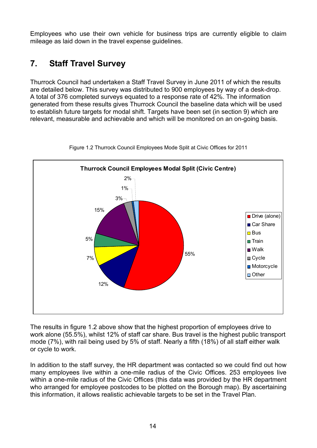<span id="page-13-0"></span>Employees who use their own vehicle for business trips are currently eligible to claim mileage as laid down in the travel expense guidelines.

## **7. Staff Travel Survey**

Thurrock Council had undertaken a Staff Travel Survey in June 2011 of which the results are detailed below. This survey was distributed to 900 employees by way of a desk-drop. A total of 376 completed surveys equated to a response rate of 42%. The information generated from these results gives Thurrock Council the baseline data which will be used to establish future targets for modal shift. Targets have been set (in section 9) which are relevant, measurable and achievable and which will be monitored on an on-going basis.



Figure 1.2 Thurrock Council Employees Mode Split at Civic Offices for 2011

The results in figure 1.2 above show that the highest proportion of employees drive to work alone (55.5%), whilst 12% of staff car share. Bus travel is the highest public transport mode (7%), with rail being used by 5% of staff. Nearly a fifth (18%) of all staff either walk or cycle to work.

In addition to the staff survey, the HR department was contacted so we could find out how many employees live within a one-mile radius of the Civic Offices. 253 employees live within a one-mile radius of the Civic Offices (this data was provided by the HR department who arranged for employee postcodes to be plotted on the Borough map). By ascertaining this information, it allows realistic achievable targets to be set in the Travel Plan.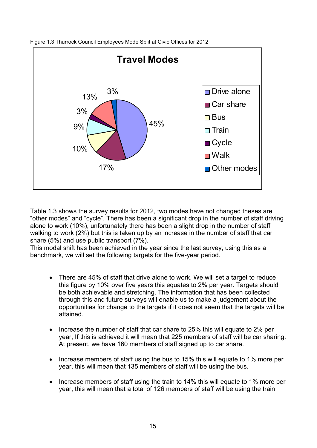

Figure 1.3 Thurrock Council Employees Mode Split at Civic Offices for 2012

Table 1.3 shows the survey results for 2012, two modes have not changed theses are "other modes" and "cycle". There has been a significant drop in the number of staff driving alone to work (10%), unfortunately there has been a slight drop in the number of staff walking to work (2%) but this is taken up by an increase in the number of staff that car share (5%) and use public transport (7%).

This modal shift has been achieved in the year since the last survey; using this as a benchmark, we will set the following targets for the five-year period.

- There are 45% of staff that drive alone to work. We will set a target to reduce this figure by 10% over five years this equates to 2% per year. Targets should be both achievable and stretching. The information that has been collected through this and future surveys will enable us to make a judgement about the opportunities for change to the targets if it does not seem that the targets will be attained.
- Increase the number of staff that car share to 25% this will equate to 2% per year, If this is achieved it will mean that 225 members of staff will be car sharing. At present, we have 160 members of staff signed up to car share.
- Increase members of staff using the bus to 15% this will equate to 1% more per year, this will mean that 135 members of staff will be using the bus.
- Increase members of staff using the train to 14% this will equate to 1% more per year, this will mean that a total of 126 members of staff will be using the train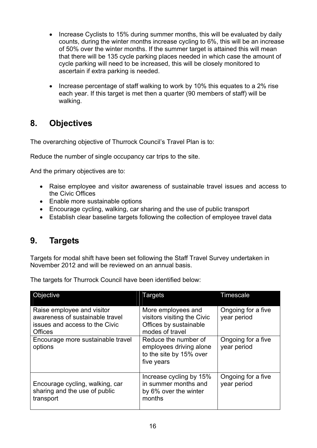- <span id="page-15-0"></span>• Increase Cyclists to 15% during summer months, this will be evaluated by daily counts, during the winter months increase cycling to 6%, this will be an increase of 50% over the winter months. If the summer target is attained this will mean that there will be 135 cycle parking places needed in which case the amount of cycle parking will need to be increased, this will be closely monitored to ascertain if extra parking is needed.
- Increase percentage of staff walking to work by 10% this equates to a 2% rise each year. If this target is met then a quarter (90 members of staff) will be walking.

## **8. Objectives**

The overarching objective of Thurrock Council's Travel Plan is to:

Reduce the number of single occupancy car trips to the site.

And the primary objectives are to:

- Raise employee and visitor awareness of sustainable travel issues and access to the Civic Offices
- Enable more sustainable options
- Encourage cycling, walking, car sharing and the use of public transport
- Establish clear baseline targets following the collection of employee travel data

### **9. Targets**

Targets for modal shift have been set following the Staff Travel Survey undertaken in November 2012 and will be reviewed on an annual basis.

| Objective                                                                                                         | Targets                                                                                        | Timescale                         |
|-------------------------------------------------------------------------------------------------------------------|------------------------------------------------------------------------------------------------|-----------------------------------|
| Raise employee and visitor<br>awareness of sustainable travel<br>issues and access to the Civic<br><b>Offices</b> | More employees and<br>visitors visiting the Civic<br>Offices by sustainable<br>modes of travel | Ongoing for a five<br>year period |
| Encourage more sustainable travel<br>options                                                                      | Reduce the number of<br>employees driving alone<br>to the site by 15% over<br>five years       | Ongoing for a five<br>year period |
| Encourage cycling, walking, car<br>sharing and the use of public<br>transport                                     | Increase cycling by 15%<br>in summer months and<br>by 6% over the winter<br>months             | Ongoing for a five<br>year period |

The targets for Thurrock Council have been identified below: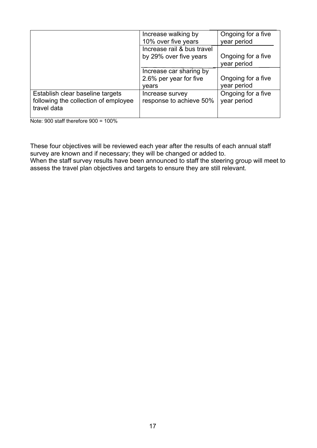|                                      | Increase walking by<br>10% over five years | Ongoing for a five<br>year period |
|--------------------------------------|--------------------------------------------|-----------------------------------|
|                                      |                                            |                                   |
|                                      | Increase rail & bus travel                 |                                   |
|                                      | by 29% over five years                     | Ongoing for a five                |
|                                      |                                            | year period                       |
|                                      | Increase car sharing by                    |                                   |
|                                      | 2.6% per year for five                     | Ongoing for a five                |
|                                      | vears                                      | year period                       |
| Establish clear baseline targets     | Increase survey                            | Ongoing for a five                |
| following the collection of employee | response to achieve 50%                    | year period                       |
| travel data                          |                                            |                                   |
|                                      |                                            |                                   |

Note:  $900$  staff therefore  $900 = 100\%$ 

These four objectives will be reviewed each year after the results of each annual staff survey are known and if necessary; they will be changed or added to.

When the staff survey results have been announced to staff the steering group will meet to assess the travel plan objectives and targets to ensure they are still relevant.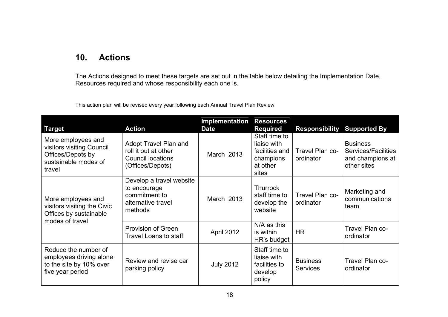## **10. Actions**

The Actions designed to meet these targets are set out in the table below detailing the Implementation Date, Resources required and whose responsibility each one is.

| This action plan will be revised every year following each Annual Travel Plan Review |
|--------------------------------------------------------------------------------------|
|--------------------------------------------------------------------------------------|

<span id="page-17-0"></span>

| <b>Target</b>                                                                                          | <b>Action</b>                                                                                 | Implementation<br><b>Date</b> | <b>Resources</b><br><b>Required</b>                                              | <b>Responsibility</b>              | <b>Supported By</b>                                                              |
|--------------------------------------------------------------------------------------------------------|-----------------------------------------------------------------------------------------------|-------------------------------|----------------------------------------------------------------------------------|------------------------------------|----------------------------------------------------------------------------------|
| More employees and<br>visitors visiting Council<br>Offices/Depots by<br>sustainable modes of<br>travel | Adopt Travel Plan and<br>roll it out at other<br><b>Council locations</b><br>(Offices/Depots) | March 2013                    | Staff time to<br>liaise with<br>facilities and<br>champions<br>at other<br>sites | Travel Plan co-<br>ordinator       | <b>Business</b><br><b>Services/Facilities</b><br>and champions at<br>other sites |
| More employees and<br>visitors visiting the Civic<br>Offices by sustainable<br>modes of travel         | Develop a travel website<br>to encourage<br>commitment to<br>alternative travel<br>methods    | March 2013                    | <b>Thurrock</b><br>staff time to<br>develop the<br>website                       | Travel Plan co-<br>ordinator       | Marketing and<br>communications<br>team                                          |
|                                                                                                        | <b>Provision of Green</b><br><b>Travel Loans to staff</b>                                     | April 2012                    | $N/A$ as this<br>is within<br>HR's budget                                        | <b>HR</b>                          | Travel Plan co-<br>ordinator                                                     |
| Reduce the number of<br>employees driving alone<br>to the site by 10% over<br>five year period         | Review and revise car<br>parking policy                                                       | <b>July 2012</b>              | Staff time to<br>liaise with<br>facilities to<br>develop<br>policy               | <b>Business</b><br><b>Services</b> | Travel Plan co-<br>ordinator                                                     |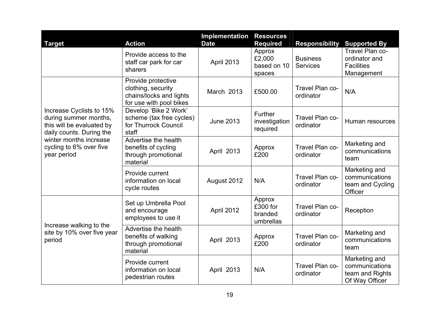| <b>Target</b>                                                                                                                                                                  | <b>Action</b>                                                                                  | Implementation<br><b>Date</b> | <b>Resources</b><br><b>Required</b>        | <b>Responsibility</b>              | <b>Supported By</b>                                                  |
|--------------------------------------------------------------------------------------------------------------------------------------------------------------------------------|------------------------------------------------------------------------------------------------|-------------------------------|--------------------------------------------|------------------------------------|----------------------------------------------------------------------|
|                                                                                                                                                                                | Provide access to the<br>staff car park for car<br>sharers                                     | April 2013                    | Approx<br>£2,000<br>based on 10<br>spaces  | <b>Business</b><br><b>Services</b> | Travel Plan co-<br>ordinator and<br><b>Facilities</b><br>Management  |
|                                                                                                                                                                                | Provide protective<br>clothing, security<br>chains/locks and lights<br>for use with pool bikes | March 2013                    | £500.00                                    | Travel Plan co-<br>ordinator       | N/A                                                                  |
| Increase Cyclists to 15%<br>during summer months,<br>this will be evaluated by<br>daily counts. During the<br>winter months increase<br>cycling to 6% over five<br>year period | Develop 'Bike 2 Work'<br>scheme (tax free cycles)<br>for Thurrock Council<br>staff             | <b>June 2013</b>              | Further<br>investigation<br>required       | Travel Plan co-<br>ordinator       | Human resources                                                      |
|                                                                                                                                                                                | Advertise the health<br>benefits of cycling<br>through promotional<br>material                 | April 2013                    | Approx<br>£200                             | Travel Plan co-<br>ordinator       | Marketing and<br>communications<br>team                              |
|                                                                                                                                                                                | Provide current<br>information on local<br>cycle routes                                        | August 2012                   | N/A                                        | Travel Plan co-<br>ordinator       | Marketing and<br>communications<br>team and Cycling<br>Officer       |
| Increase walking to the                                                                                                                                                        | Set up Umbrella Pool<br>and encourage<br>employees to use it                                   | April 2012                    | Approx<br>£300 for<br>branded<br>umbrellas | Travel Plan co-<br>ordinator       | Reception                                                            |
| site by 10% over five year<br>period                                                                                                                                           | Advertise the health<br>benefits of walking<br>through promotional<br>material                 | April 2013                    | Approx<br>£200                             | Travel Plan co-<br>ordinator       | Marketing and<br>communications<br>team                              |
|                                                                                                                                                                                | Provide current<br>information on local<br>pedestrian routes                                   | April 2013                    | N/A                                        | Travel Plan co-<br>ordinator       | Marketing and<br>communications<br>team and Rights<br>Of Way Officer |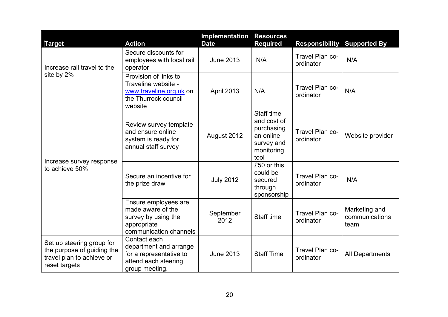| <b>Target</b>                                                                                         | <b>Action</b>                                                                                               | Implementation<br><b>Date</b> | <b>Resources</b><br><b>Required</b>                                                             | <b>Responsibility</b>        | <b>Supported By</b>                     |
|-------------------------------------------------------------------------------------------------------|-------------------------------------------------------------------------------------------------------------|-------------------------------|-------------------------------------------------------------------------------------------------|------------------------------|-----------------------------------------|
| Increase rail travel to the<br>site by 2%                                                             | Secure discounts for<br>employees with local rail<br>operator                                               | <b>June 2013</b>              | N/A                                                                                             | Travel Plan co-<br>ordinator | N/A                                     |
|                                                                                                       | Provision of links to<br>Traveline website -<br>www.traveline.org.uk on<br>the Thurrock council<br>website  | April 2013                    | N/A                                                                                             | Travel Plan co-<br>ordinator | N/A                                     |
|                                                                                                       | Review survey template<br>and ensure online<br>system is ready for<br>annual staff survey                   | August 2012                   | <b>Staff time</b><br>and cost of<br>purchasing<br>an online<br>survey and<br>monitoring<br>tool | Travel Plan co-<br>ordinator | Website provider                        |
| Increase survey response<br>to achieve 50%                                                            | Secure an incentive for<br>the prize draw                                                                   | <b>July 2012</b>              | £50 or this<br>could be<br>secured<br>through<br>sponsorship                                    | Travel Plan co-<br>ordinator | N/A                                     |
|                                                                                                       | Ensure employees are<br>made aware of the<br>survey by using the<br>appropriate<br>communication channels   | September<br>2012             | Staff time                                                                                      | Travel Plan co-<br>ordinator | Marketing and<br>communications<br>team |
| Set up steering group for<br>the purpose of guiding the<br>travel plan to achieve or<br>reset targets | Contact each<br>department and arrange<br>for a representative to<br>attend each steering<br>group meeting. | <b>June 2013</b>              | <b>Staff Time</b>                                                                               | Travel Plan co-<br>ordinator | <b>All Departments</b>                  |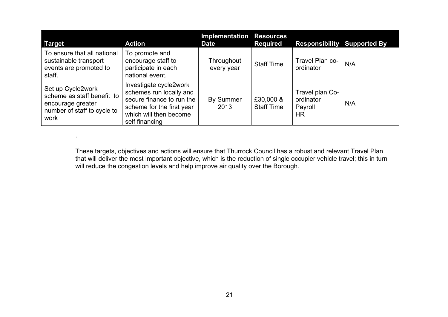| <b>Target</b>                                                                                               | <b>Action</b>                                                                                                                                           | <b>Implementation Resources</b><br><b>Date</b> | <b>Required</b>                | <b>Responsibility Supported By</b>                   |     |
|-------------------------------------------------------------------------------------------------------------|---------------------------------------------------------------------------------------------------------------------------------------------------------|------------------------------------------------|--------------------------------|------------------------------------------------------|-----|
| To ensure that all national<br>sustainable transport<br>events are promoted to<br>staff.                    | To promote and<br>encourage staff to<br>participate in each<br>national event.                                                                          | Throughout<br>every year                       | <b>Staff Time</b>              | Travel Plan co-<br>ordinator                         | N/A |
| Set up Cycle2work<br>scheme as staff benefit to<br>encourage greater<br>number of staff to cycle to<br>work | Investigate cycle2work<br>schemes run locally and<br>secure finance to run the<br>scheme for the first year<br>which will then become<br>self financing | <b>By Summer</b><br>2013                       | £30,000 &<br><b>Staff Time</b> | Travel plan Co-<br>ordinator<br>Payroll<br><b>HR</b> | N/A |

.

These targets, objectives and actions will ensure that Thurrock Council has a robust and relevant Travel Plan that will deliver the most important objective, which is the reduction of single occupier vehicle travel; this in turn will reduce the congestion levels and help improve air quality over the Borough.